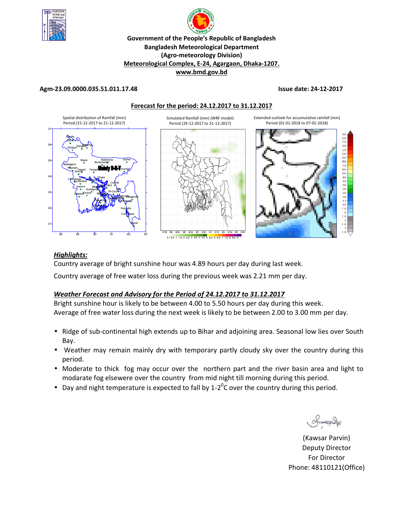



## **Agm-23.09.0000.035.51.011.17.48 Issue date: 24-12-2017**

**Forecast for the period: 24.12.2017 to 31.12.2017**

**www.bmd.gov.bd** 



### $0.10.5$  1 1.5 2 2.5 3 3.5 4 4.5 5.5 6 6.5 7 7.5 8

## *Highlights:*

Country average of bright sunshine hour was 4.89 hours per day during last week.

Country average of free water loss during the previous week was 2.21 mm per day.

## *Weather Forecast and Advisory for the Period of 24.12.2017 to 31.12.2017*

Bright sunshine hour is likely to be between 4.00 to 5.50 hours per day during this week. Average of free water loss during the next week is likely to be between 2.00 to 3.00 mm per day.

- Ridge of sub-continental high extends up to Bihar and adjoining area. Seasonal low lies over South Bay.
- Weather may remain mainly dry with temporary partly cloudy sky over the country during this period.
- Moderate to thick fog may occur over the northern part and the river basin area and light to modarate fog elsewere over the country from mid night till morning during this period.
- Day and night temperature is expected to fall by 1-2<sup>0</sup>C over the country during this period.

Smanacha

**N.** (Kawsar Parvin) Deputy Director For Director Phone: 48110121(Office)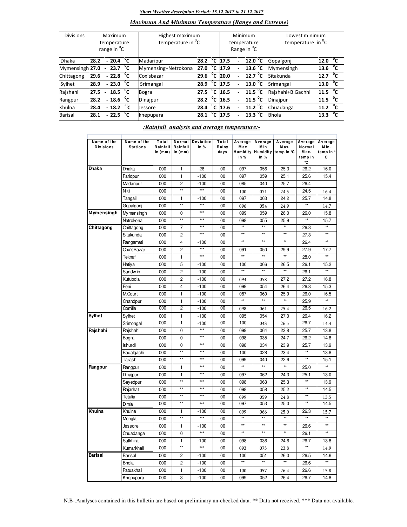## *Short Weather description Period: 15.12.2017 to 21.12.2017*

## *Maximum And Minimum Temperature (Range and Extreme)*

| <b>Divisions</b> | Maximum<br>temperature<br>range in <sup>o</sup> C |        |                   |    | Highest maximum<br>temperature in <sup>o</sup> C |                   |                |      |                          | Minimum<br>temperature<br>Range in <sup>o</sup> C | Lowest minimum<br>temperature in $^{\circ}$ C |                    |  |
|------------------|---------------------------------------------------|--------|-------------------|----|--------------------------------------------------|-------------------|----------------|------|--------------------------|---------------------------------------------------|-----------------------------------------------|--------------------|--|
| <b>Dhaka</b>     | 28.2                                              |        | $-20.4$           | °⊂ | Madaripur                                        | 28.2              | $^{\circ}$ c   | 17.5 |                          | 12.0 $^{\circ}$ C                                 | Gopalgoni                                     | °c<br>12.0         |  |
| Mymensingh 27.0  |                                                   |        | $-23.7\text{ °C}$ |    | Mymensing+Netrokona                              | 27.0              | $\overline{c}$ | 17.9 |                          | $13.6\text{ °C}$                                  | Mymensingh                                    | °⊂<br>13.6         |  |
| Chittagong       | 29.6                                              |        | $-22.8\text{ °C}$ |    | Cox'sbazar                                       | 29.6              | $\overline{c}$ | 20.0 |                          | $\overline{12.7}$ <sup>o</sup> C                  | Sitakunda                                     | 12.7 $^{\circ}$ C  |  |
| Sylhet           | 28.9                                              |        | $-23.0\degree$ C  |    | Srimangal                                        | 28.9              | $^{\circ}$ c   | 17.5 | $\overline{\phantom{0}}$ | 13.0 $^{\circ}$ C                                 | Srimangal                                     | 13.0 $^{\circ}$ C  |  |
| Rajshahi         | 27.5                                              | $\sim$ | 18.5 $\degree$ C  |    | Bogra                                            | 27.5              | °c             | 16.5 |                          | $\overline{11.5}$ <sup>o</sup> C                  | Raishahi+B.Gachhi                             | 11.5 $\sqrt[6]{C}$ |  |
| Rangpur          | 28.2                                              |        | $-18.6\text{ °C}$ |    | Dinajpur                                         | $28.2 \text{ °C}$ |                | 16.5 |                          | 11.5 $^{\circ}$ C                                 | Dinajpur                                      | 11.5 $\degree$ C   |  |
| Khulna           | 28.4                                              |        | $-18.2 \t C$      |    | <b>Jessore</b>                                   | 28.4              | °c             | 17.6 |                          | 11.2 $^{\circ}$ C                                 | Chuadanga                                     | 11.2 $^{0}C$       |  |
| Barisal          | 28.1                                              |        | $-22.5\text{ °C}$ |    | khepupara                                        | 28.1              | $^0$ C         | 17.5 |                          | $13.3 \text{ °C}$                                 | <b>Bhola</b>                                  | °c<br>13.3         |  |

## *:Rainfall analysis and average temperature:-*

| Name of the<br><b>Divisions</b> | Name of the<br><b>Stations</b> | Total<br>Rainfall<br>in (mm) | Normal<br>Rainfall<br>in (mm) | Deviation<br>in % | Total<br>Rainy<br>days | Average<br>Max<br>Humidity<br>in % | Average<br>M in<br>Humidity<br>in $%$ | Average<br>Max.<br>temp in °C | Average<br>Normal<br>Max.<br>temp in | Average<br>M in.<br>temp in °<br>c |
|---------------------------------|--------------------------------|------------------------------|-------------------------------|-------------------|------------------------|------------------------------------|---------------------------------------|-------------------------------|--------------------------------------|------------------------------------|
| Dhaka                           |                                |                              |                               |                   |                        |                                    |                                       |                               | ۰C                                   |                                    |
|                                 | Dhaka                          | 000                          | $\mathbf{1}$                  | 26                | 00                     | 097                                | 056                                   | 25.3                          | 26.2                                 | 16.0                               |
|                                 | Faridpur                       | 000                          | 1                             | $-100$            | $00\,$                 | 097                                | 059                                   | 25.1                          | 25.6                                 | 15.4                               |
|                                 | Madaripur                      | 000                          | $\overline{2}$<br>**          | $-100$<br>$***$   | 00                     | 085                                | 040                                   | 25.7                          | 26.4                                 |                                    |
|                                 | Nikli                          | 000                          |                               |                   | 00                     | 100                                | 071                                   | 24.5                          | 24.5                                 | 16.4                               |
|                                 | Tangail                        | 000                          | 1<br>**                       | $-100$<br>$***$   | 00                     | 097                                | 063                                   | 24.2                          | 25.7                                 | 14.8                               |
|                                 | Gopalgonj                      | 000                          |                               | $***$             | 00                     | 096                                | 054                                   | 24.9                          | $\star\star$                         | 14.7                               |
| Mymensingh                      | Mymensingh                     | 000                          | 0                             |                   | 00                     | 099                                | 059                                   | 26.0                          | 26.0                                 | 15.8                               |
|                                 | Netrokona                      | 000                          | **                            | $***$             | 00                     | 098                                | 055                                   | 25.9                          | $\star\star$                         | 15.7                               |
| Chittagong                      | Chittagong                     | 000                          | 7                             | ***               | 00                     | $\overline{1}$                     | $\star\star$                          | $\star\star$                  | 26.8                                 |                                    |
|                                 | Sitakunda                      | 000                          | $\overline{2}$                | $***$             | 00                     | $^{\star\star}$                    | $^{\star\star}$                       | $\overline{11}$               | 27.3                                 | $\star\star$                       |
|                                 | Rangamati                      | 000                          | 4                             | $-100$            | 00                     | $\star\star$                       | $\star\star$                          | $^{\star\star}$               | 26.4                                 | $\star\star$                       |
|                                 | Cox'sBazar                     | 000                          | $\overline{c}$                | $***$             | 00                     | 091                                | 050                                   | 29.9                          | 27.9                                 | 17.7                               |
|                                 | Teknaf                         | 000                          | $\mathbf{1}$                  | $***$             | 00                     | $\star\star$                       | $\star\star$                          | $\star\star$                  | 28.0                                 | $\star\star$                       |
|                                 | Hatiya                         | 000                          | 5                             | $-100$            | 00                     | 100                                | 066                                   | 26.5                          | 26.1                                 | 15.2                               |
|                                 | Sandw ip                       | 000                          | $\overline{c}$                | $-100$            | 00                     | $\star\star$                       | $\star\star$                          | **                            | 26.1                                 | $\star\star$                       |
|                                 | Kutubdia                       | 000                          | $\overline{c}$                | $-100$            | $00\,$                 | 094                                | 058                                   | 27.2                          | 27.2                                 | 16.8                               |
|                                 | Feni                           | 000                          | $\overline{4}$                | $-100$            | 00                     | 099                                | 054                                   | 26.4                          | 26.8                                 | 15.3                               |
|                                 | M.Court                        | 000                          | $\mathbf{1}$                  | $-100$            | 00                     | 087                                | 060                                   | 25.9                          | 26.0                                 | 16.5                               |
|                                 | Chandpur                       | 000                          | 1                             | $-100$            | 00                     | $\star\star$                       | $\star\star$                          | $^{\star\star}$               | 25.9                                 | $\star\star$                       |
|                                 | Comilla                        | 000                          | $\overline{2}$                | $-100$            | 00                     | 098                                | 061                                   | 25.4                          | 26.5                                 | 16.2                               |
| Sylhet                          | Sylhet                         | 000                          | $\mathbf{1}$                  | $-100$            | 00                     | 095                                | 054                                   | 27.0                          | 26.4                                 | 16.2                               |
|                                 | Srimongal                      | 000                          | 1                             | $-100$            | 00                     | 100                                | 043                                   | 26.5                          | 26.7                                 | 14.4                               |
| Rajshahi                        | Rajshahi                       | 000                          | 0                             | $***$             | 00                     | 099                                | 064                                   | 23.8                          | 25.7                                 | 13.8                               |
|                                 | Bogra                          | 000                          | 0                             | $***$             | 00                     | 098                                | 035                                   | 24.7                          | 26.2                                 | 14.8                               |
|                                 | <b>Ishurdi</b>                 | 000                          | 0                             | ***               | 00                     | 098                                | 034                                   | 23.9                          | 25.7                                 | 13.9                               |
|                                 | Badalgachi                     | 000                          | **                            | $***$             | 00                     | 100                                | 028                                   | 23.4                          | $\star\star$                         | 13.8                               |
|                                 | Tarash                         | 000                          | $\star\star$                  | $***$             | 00                     | 099                                | 040                                   | 22.6                          | $\star\star$                         | 15.1                               |
| Rangpur                         | Rangpur                        | 000                          | 1                             | $***$             | 00                     | $\star\star$                       | $\star\star$                          | $\star\star$                  | 25.0                                 | $\star\star$                       |
|                                 | Dinajpur                       | 000                          | 1                             | $***$             | 00                     | 097                                | 062                                   | 24.3                          | 25.1                                 | 13.0                               |
|                                 |                                |                              | **                            | ***               | 00                     |                                    |                                       | 25.3                          | $\star\star$                         |                                    |
|                                 | Sayedpur<br>Rajarhat           | 000<br>000                   | $\star\star$                  | $***$             | 00                     | 098<br>098                         | 063                                   | 25.2                          | $\star\star$                         | 13.9<br>14.5                       |
|                                 |                                |                              | $\star\star$                  | $***$             |                        |                                    | 058                                   |                               | $\star\star$                         |                                    |
|                                 | Tetulia                        | 000<br>000                   | $\overline{1}$                | $***$             | 00<br>00               | 099<br>097                         | 059<br>053                            | 24.8<br>25.0                  | $\star\star$                         | 13.5<br>14.5                       |
|                                 | Dimla                          |                              |                               |                   |                        |                                    |                                       |                               |                                      |                                    |
| Khulna                          | Khulna                         | 000                          | 1<br>$\star\star$             | $-100$<br>$***$   | 00                     | 099<br>$\star\star$                | 066<br>$\overline{1}$                 | 25.0<br>$\star\star$          | 26.3<br>$\star\star$                 | 15.7<br>$\star\star$               |
|                                 | Mongla                         | 000                          |                               |                   | 00                     |                                    |                                       |                               |                                      |                                    |
|                                 | Jessore                        | 000                          | 1                             | $-100$            | 00                     | $\star\star$                       | $\star\star$                          | $\star\star$                  | 26.6                                 | $\star\star$                       |
|                                 | Chuadanga                      | 000                          | 0                             | $***$             | 00                     | $\star\star$                       | $\star\star$                          | **                            | 26.1                                 | $\star\star$                       |
|                                 | Satkhira                       | 000                          | 1                             | $-100$            | $00\,$                 | 098                                | 036                                   | 24.6                          | 26.7                                 | 13.8                               |
|                                 | Kumarkhali                     | 000                          | $\star\star$                  | $***$             | 00                     | 093                                | 075                                   | 23.8                          | $\star\star$                         | 14.9                               |
| <b>Barisal</b>                  | <b>Barisal</b>                 | 000                          | 2                             | $-100$            | 00                     | 100                                | 051                                   | 26.0                          | 26.5                                 | 14.6                               |
|                                 | <b>Bhola</b>                   | 000                          | $\overline{c}$                | $-100$            | 00                     | $\star\star$                       | $\star\star$                          | $\overline{}$                 | 26.6                                 | $\overline{1}$                     |
|                                 | Patuakhali                     | 000                          | 1                             | $-100$            | 00                     | 100                                | 057                                   | 26.4                          | 26.6                                 | 15.8                               |
|                                 | Khepupara                      | 000                          | 3                             | $-100$            | 00                     | 099                                | 052                                   | 26.4                          | 26.7                                 | 14.8                               |

N.B-.Analyses contained in this bulletin are based on preliminary un-checked data. \*\* Data not received. \*\*\* Data not available.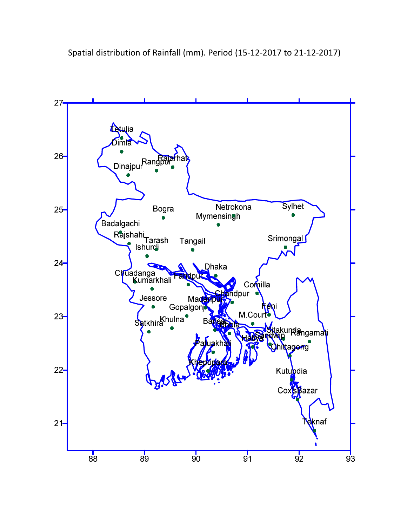Spatial distribution of Rainfall (mm). Period (15-12-2017 to 21-12-2017)

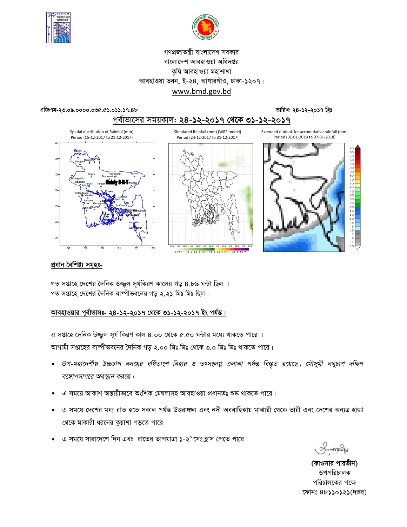![](_page_3_Picture_0.jpeg)

![](_page_3_Picture_1.jpeg)

# গণপ্রজাতন্ত্রী বাংলাদেশ সরকার বাংলাদেশ আবহাওয়া অধিদপ্তর কৃষি আবহাওয়া মহাশাখা আবহাওয়া ভবন, ই-২8, আগারগাঁও, ঢাকা-১২০৭। www.bmd.gov.bd

## এজিএম-২৩.০৯.০০০০.০৩৫.৫১.০১১.১৭.৪৮

তারিখ: ২৪-১২-২০১৭ খ্রিঃ

![](_page_3_Figure_5.jpeg)

## প্ৰধান বৈশিষ্ট্য সমূহঃ-

গত সপ্তাহে দেশের দৈনিক উজ্জ্বল সূর্যকিরণ কালের গড় ৪.৮৯ ঘন্টা ছিল । গত সপ্তাহে দেশের দৈনিক বাম্পীভবনের গড় ২.২১ মিঃ মিঃ ছিল।

## আবহাওয়ার পূর্বাভাসঃ- ২৪-১২-২০১৭ থেকে ৩১-১২-২০১৭ ইং পর্যন্ত।

এ সপ্তাহে দৈনিক উজ্জুল সূর্য কিরণ কাল ৪.০০ থেকে ৫.৫০ ঘন্টার মধ্যে থাকতে পারে । আগামী সপ্তাহের বাষ্পীভবনের দৈনিক গড় ২.০০ মিঃ মিঃ থেকে ৩.০ মিঃ মিঃ থাকতে পারে।

- উপ-মহাদেশীয় উচ্চচাপ বলয়ের বর্ধিতাংশ বিহার ও তৎসংলগ্ন এলাকা পর্যন্ত বিস্তৃত রয়েছে। মৌসুমী লঘুচাপ দক্ষিণ  $\bullet$ বঙ্গোপসাগরে অবস্থান করছে।
- এ সময়ে আকাশ অস্থায়ীভাবে অংশিক মেঘলাসহ আবহাওয়া প্ৰধানতঃ শুষ্ক থাকতে পারে।
- এ সময়ে দেশের মধ্য রাত হতে সকাল পর্যন্ত উত্তরাঞ্চল এবং নদী অববাহিকায় মাঝারী থেকে ভারী এবং দেশের অন্যত্র হাঙ্কা থেকে মাঝারী ধরনের কুয়াশা পড়তে পারে।
- এ সময়ে সারাদেশে দিন এবং রাতের তাপমাত্রা **১**-২° সেঃহ্রাস পেতে পারে।

(কাওসার পারভীন) উপপরিচালক পরিচালকের পক্ষে ফোনঃ ৪৮১১০১২১(দপ্তর)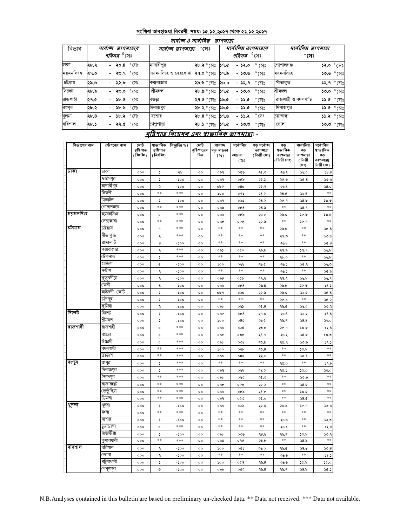## সংক্ষিপ্ত আবহাওয়া বিবরণী, সময়: ১৫.১২.২০১৭ থেকে ২১.১২.২০১৭

| বিভাগ<br>ঢাকা | ২৮.২<br>২৭.০ | সৰ্বোচ্ছ তাপমাত্ৰাৰ<br><i>পরিসর <sup>৩</sup></i> সেঃ<br>- ২০.৪ ° সেঃ<br>- <b>২৩.</b> ৭ °মেঃ | সৰ্বোচ্ছ তাপমাত্ৰা<br>মাদারীপুর | $^\circ$ সেঃ<br>২৮.২ ° সেঃ ১৭.৫ |      | সর্বোনিম্ন তাপমাত্রার<br><i><b>পরিসর <sup>0</sup>(সং</b></i><br>- ১২.০ |                        | সর্বোনিম্ন তাপমাত্রা<br>$^\circ$ সেঃ |                    |  |
|---------------|--------------|---------------------------------------------------------------------------------------------|---------------------------------|---------------------------------|------|------------------------------------------------------------------------|------------------------|--------------------------------------|--------------------|--|
|               |              |                                                                                             |                                 |                                 |      |                                                                        |                        |                                      |                    |  |
|               |              |                                                                                             |                                 |                                 |      |                                                                        |                        |                                      |                    |  |
|               |              |                                                                                             |                                 |                                 |      |                                                                        | ° (ञ $\,$              | গোপালগঞ্জ                            | <b>১২.০</b> ° সেঃ  |  |
| ময়মনসিংহ     |              |                                                                                             | এয়মনসিংহ ও নেত্রকোনা           | ২৭.০ $^{\circ}$ সেঃ ১৭.৯        |      | - ১৩.৬                                                                 | $\degree$ (ਸ $\degree$ | ময়মনসিংহ                            | ১৩.৬ ° সেঃ         |  |
| চট্টগ্ৰাম     | ২৯.৬         | $^{\circ}$ (সঃ<br>- ২২.৮                                                                    | কক্সবাজার                       | ২৯.৬ ° সেঃ                      | ২০.০ | - ১২.৭                                                                 | $^\circ$ সেঃ           | । সীতাকুড                            | <b>১২.৭</b> ° সেঃ  |  |
| সিলেট         | ২৮.৯         | $^\circ$ সেঃ<br>- ২৩.০                                                                      | শ্ৰীমঙ্গল                       | ২৮.৯ ° সেঃ                      | 39.6 | - ১৩.০                                                                 | $^{\circ}$ সেঃ         | শ্ৰীমঙ্গল                            | $50.0^\circ$ (সঃ   |  |
| রাজশাহী       | ২৭.৫         | - ১৮.৫ $^{\circ}$ সেঃ                                                                       | বণ্ডড়া                         | ২৭.৫ ° সেঃ                      | ১৬.৫ | $-33.0$                                                                | $^{\circ}$ সেঃ         | রাজশাহী ও বদলগাছি                    | $33.0^\circ$ পুরিঃ |  |
| রংপর          | ২৮.২         | $^\circ$ সেঃ<br>১৮.৬<br>$\sim$                                                              | দিনাজপুর                        | ২৮.২ ° সেঃ                      | ১৬.৫ | - ১১.৫                                                                 | $^\circ$ সেঃ           | দিনাজপুর                             | $33.0^\circ$ পুরিঃ |  |
| খুলনা         | ২৮.৪         | - ১৮.২ $\degree$ সেঃ                                                                        | যশোর                            | ২৮.৪ ° সেঃ                      | ১৭.৬ | $-33.3$                                                                | $^{\circ}$ সেঃ         | চয়াডাঙ্গা                           | ১১.২ ° সেঃ         |  |
| বরিশাল        | ২৮.১         | - <b>২২.৫</b> ° সেঃ                                                                         | খেপুপাড়া                       | ২৮.১ $^{\circ}$ (সঃ ১৭.৫        |      | - ১৩.৩                                                                 | $^{\circ}$ (সঃ         | ভোলা                                 | ১৩.৩ ° (সঃ         |  |

### মৌ বিভাগের নাম স্টেশনের নাম ষাভাবিক বছ্যুতি( %) মোট সৰ্বোচ্ছ সৰ্বোনিম্ন গড় সৰ্বো<del>জ</del> ্গড়<br>ম্বভাবিক সর্বোনিম্ন নৰ্বোনিম্ন বৃষ্টিপাত<br>(মিঃমিঃ) বৃষ্টিপাত<br>(মিঃমিঃ) রষ্টি পাতে: ডে আদ্রত তাপমাত্রা গড় ষাভাবিক দিন (ডিগ্ৰী সেঃ) তাপমাত্রা  $( %)$ মাদ্রতা তাপমাত্রা গড ডিগ্ৰী সেঃ) (ডিগ্ৰী তাপমাত্রা(  $( %)$ ডিগ্ৰী সেঃ) (সঃ) जका ঢাকা 000  $\overline{\mathbf{r}}$ ২৬  $\circ$ ২৫.৩ ০৯৭ ০৫৬ ২৬.২  $56.0$  $58.8$ ফরিদপুর  $\overline{\phantom{a}}$ ০৯৭ ২৫.১  $6.8$  $50.5$  $-200$ ০৫৯ ২৫.৬  $000$  $\circ \circ$ মাদারীপুর ২৬.8  $58.0$  $ob@$  $080$ ২৫.৭  $000$ ২ -200  $\circ\circ$ ন্ত্ৰিকলী  $*$  $***$  $**$ ২৪.৫  $5.8$ ०१১ 28.0  $000$  $_{\rm oo}$  $500$ টাঙ্গাইল  $58.b$  $50.0$  $\overline{\phantom{a}}$  $28.2$ ২৫.৭  $000$  $-500$  $^{\circ}$ ০৯৭  $\circ \circ$ : গাপালগজ্ঞ  $**$  $***$ ২৪.৯  $\ast\ast$  $58.9$  $**$  $008$  $000$  $^{\circ}$ ০৯৬ ময়মনসিংহ মযমনসিংহ \*\*\*  $000$ ২৬.০  $30.5$  $50.6$  $000$  $\circ$  $^{\circ}$ ০৯৯ ২৬.০ নত্ৰকোনা  $\ast\ast$ \*\*\* \*\*  $\ast$  $9.96$  $000$  $^{\circ}$ ০৯৮  $000$ ২৫.৯ চট্টগ্ৰাম চট্টগ্ৰাম \*\*\*  $\ast\ast$ \*\*  $* *$ \*\*  $\delta$ .8  $000$  $\mathsf{q}$  $\circ$ ২৬.৮ নীতাকুন্ড \*\*\* \*\*  $**$  $*$  $\ast\ast$  $000$  $\lambda$  $^{\circ}$ ২৭.৩  $9.96$ রাঙ্গামাটি  $\ast\ast$  $**$  $**$  $\ast\ast$  $000$ 8  $-500$  $\circ \circ$ ২৬.৪  $56.8$ কক্সবাজার  $***$  $9.9$ ০৯১  $000$ ২৯.৯  $36.6$  $000$  $\lambda$  $^{\circ}$ ২৭.৯ টেকনাফ  $***$  $\ast\ast$  $\overline{...}$  $**$  $**$  $\sqrt{25}$  $\mathbf{r}$  $\circ$  $\delta b$ .0  $000$ হাতিয়া 000  $\pmb{\mathfrak{C}}$  $-500$  $^{\circ}$  $\mathcal{L}$ ০৬৬ ২৬.৫ ২৬.১  $30.2$  $55.0$ ন্দ্বীপ  $*$  $**$  $*$  $\ast\ast$  $000$  $\mathcal{L}$  $-200$  $^{\circ}$ ২৬.১  $36.9$ কুতুবদীয়া  $000$  $\mathcal{L}$  $-200$  $^{\circ}$ ಂನಿ $8$ oQb ২৭.২ ২৭.২  $\mathcal{S} \mathcal{S}$ .b  $38.9$ ক্ৰী  $58.5$  $\bf{8}$  $-500$  $^{\circ}$ ০৯৯  $008$ ২৬.৪ ২৬.৮  $0.96$  $000$ মাইজদী (কার্ট ১৬.৫  $6.8$ 000  $\mathsf S$  $-500$  $^{\circ}$  $obq$ ০৬০ ২৫.৯ ২৬.০ চাঁদপুর  $**$  $\ast\ast$  $\ast\ast$  $\ast\ast$  $56.5$ 000  $\mathsf S$  $-500$  $^{\circ}$ ২৫.৯ কমিল্লা 000  $^{\circ}$  $\delta$ ৽৽  $20.8$ ২৬.৫  $30.5$  $50.8$  $\mathcal{L}$  $-500$ সিলেট সিলেট  $000$  $\mathsf S$  $-500$  $^{\circ}$ ০৯৫ o $Q$ 8 २१.० ২৬. $8$ ১৬.২  $58.8$ শ্ৰীমঙ্গল  $38.8$  $080$  $52.0$  $000$  $\mathsf S$  $-500$  $^{\circ}$  $500$  $24.6$ ২৬.৭ রাজশাহী রাজশাহী \*\*\*  $000$  $^\circ$  $^{\circ}$ ০৯৯  $0.58$ ২৩.৮ ২৫.৭  $50.b$  $52.8$ ৰগুডা \*\*\*  $000$  $^{\circ}$  $^{\circ}$  $\circ$   $\delta b$ ০৩৫ २8.१ ২৬.২  $58.b$  $50.0$ ঈশ্বরদী  $***$  $000$  $^{\circ}$  $^{\circ}$  $\circ$   $\delta b$  $\circ \circ 8$ ২৩.৯ ২৫.৭  $50.5$  $52.5$ বদলগাষী  $\ast\ast$  $***$  $***$ 000  $^{\circ}$  $\mathfrak{soo}$  $\circ \diamond$ ২৩. $8$  $\ast\ast$  $50.b$ তাডাশ  $**$  $**$  $**$  $000$  $***$  $_{\rm oo}$ ০৯৯  $080$ ২২.৬  $50.5$ রংপুর রংপুর  $***$  $\ast\ast$  $**$  $**$  $\ast\ast$ 000  $\mathcal{S}$  $^{\circ}$ ২৫.০  $32.5$ দিনাজপুর  $***$ 000  $\mathcal{S}$  $^{\circ}$ ০৯৭ ০৬২ ২৪.৩ ২৫.১  $50.0$  $52.0$ সৈয়দপুর  $***$  $**$  $**$  $\ast\ast$  $50.5$  $000$  $^{\circ}$  $\circ$   $\delta b$ ০৬৩ ২৫.৩ ়<br>রাজারহাট  $*$  $**$  $***$  $\ast\ast$  $58.0$ 000  $^{\circ}$  $\circ$   $\delta b$ o¢b ২৫.২ তেতুঁলিয়া  $\pm\pm$  $***$  $28.b$  $\ast\ast$  $50.0$  $**$ 000  $^{\circ}$ ০৯৯ ০৫৯ ডিমলা  $**$ \*\*\*  $**$  $**$  $000$  $^{\circ}$ ०৯१ ০৫৩ ২৫.০  $58.0$ शूलबा থুলনা 000  $\mathcal{S}$  $-500$  $^{\circ}$ ০৯৯ ০৬৬ ২৫.০ ২৬.৩  $30.9$  $50.5$

## <u> বৃষ্টিপাত বিশ্লেষৰ এবং স্বাভাবিক তাপমাত্ৰা</u>: -

 $\circ$ 

 $\circ$ 

 $^{\circ}$ 

 $^{\circ}$ 

 $^{\circ}$ 

 $^{\circ}$ 

 $^{\circ}$ 

 $^{\circ}$ 

 $\circ$ 

 $**$ 

 $\ast\ast$ 

 $\ast\ast$ 

 $\circ$   $\delta b$ 

০৯৩

 $500$ 

 $\ast\ast$ 

 $\mathcal{L}$ 

০৯৯

 $**$ 

 $\ast\ast$ 

 $\ast\ast$ 

০৩৬

०१৫

৽৫১

 $\ast\ast$ 

०৫१

০৫২

 $**$ 

 $\ast\ast$ 

 $\ast\ast$ 

২8.৬

২৩.৮

২৬.০

 $\ast\ast$ 

২৬.8

২৬. $8$ 

 $***$ 

২৬.৬

২৬.১

২৬.৭

 $\ast\ast$ 

২৬.৫

২৬.৬

২৬.৬

২৬.৭

 $**$ 

 $\ast\ast$ 

 $\ast\ast$ 

 $30.b$ 

১৪.৯

 $58.6$ 

 $\ast\ast$ 

 $30.5$ 

 $58.5$ 

 $***$ 

 $52.0$ 

 $32.6$ 

 $50.5$ 

 $**$ 

 $50.8$ 

 $58.5$ 

 $30.0$ 

 $50.5$ 

মংলা

যশোর

চয়াডাঙ্গা

সাতক্ষীরা

কুমারথালী

বরিশাল

ভোলা

পটুয়াথালী

খেপুপাডা

বরিশাল

000

 $000$ 

000

 $000$ 

 $000$ 

 $000$ 

 $000$ 

 $000$ 

 $000$ 

 $**$ 

 $\mathsf S$ 

 $\circ$ 

 $\overline{\mathbf{r}}$ 

 $\ast\ast$ 

 $\mathbf{z}$ 

 $\lambda$ 

 $\mathbf{A}$ 

 $\circ$ 

\*\*\*

 $-500$ 

 $***$ 

 $-500$ 

 $***$ 

 $-200$ 

-Joo

 $-500$ 

-Soo